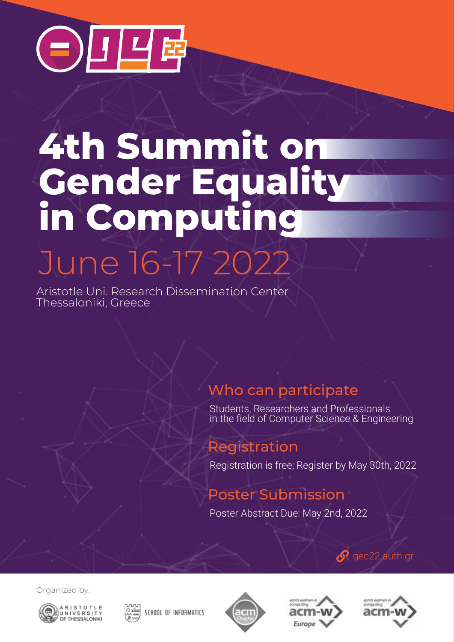

## June 16-17 2022 **4th Summit on Gender Equality in Computing**

Aristotle Uni. Research Dissemination Center Thessaloniki, Greece

## Who can participate

Students, Researchers and Professionals in the field of Computer Science & Engineering

### Registration

Registration is free; Register by May 30th, 2022

## Poster Submission

Poster Abstract Due: May 2nd, 2022